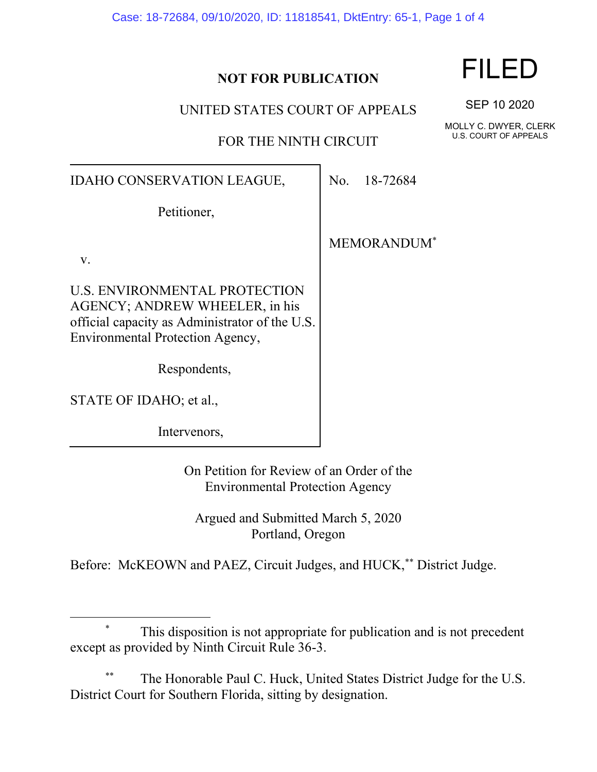|  |  |  |  | Case: 18-72684, 09/10/2020, ID: 11818541, DktEntry: 65-1, Page 1 of 4 |  |  |  |  |
|--|--|--|--|-----------------------------------------------------------------------|--|--|--|--|
|--|--|--|--|-----------------------------------------------------------------------|--|--|--|--|

### **NOT FOR PUBLICATION**

UNITED STATES COURT OF APPEALS

FOR THE NINTH CIRCUIT

IDAHO CONSERVATION LEAGUE,

Petitioner,

MEMORANDUM\*

No. 18-72684

v.

U.S. ENVIRONMENTAL PROTECTION AGENCY; ANDREW WHEELER, in his official capacity as Administrator of the U.S. Environmental Protection Agency,

Respondents,

STATE OF IDAHO; et al.,

Intervenors,

On Petition for Review of an Order of the Environmental Protection Agency

Argued and Submitted March 5, 2020 Portland, Oregon

Before: McKEOWN and PAEZ, Circuit Judges, and HUCK,\*\* District Judge.

## This disposition is not appropriate for publication and is not precedent except as provided by Ninth Circuit Rule 36-3.

The Honorable Paul C. Huck, United States District Judge for the U.S. District Court for Southern Florida, sitting by designation.

# FILED

SEP 10 2020

MOLLY C. DWYER, CLERK U.S. COURT OF APPEALS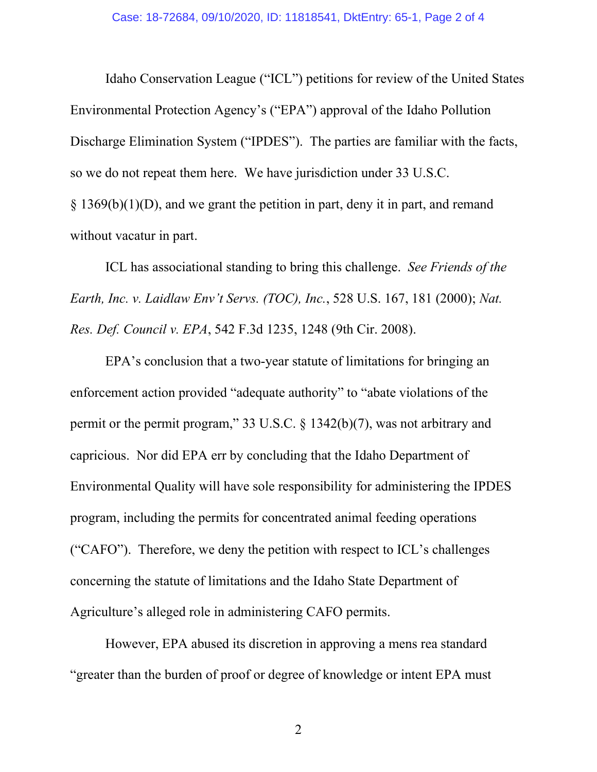Idaho Conservation League ("ICL") petitions for review of the United States Environmental Protection Agency's ("EPA") approval of the Idaho Pollution Discharge Elimination System ("IPDES"). The parties are familiar with the facts, so we do not repeat them here. We have jurisdiction under 33 U.S.C.  $\S$  1369(b)(1)(D), and we grant the petition in part, deny it in part, and remand without vacatur in part.

ICL has associational standing to bring this challenge. *See Friends of the Earth, Inc. v. Laidlaw Env't Servs. (TOC), Inc.*, 528 U.S. 167, 181 (2000); *Nat. Res. Def. Council v. EPA*, 542 F.3d 1235, 1248 (9th Cir. 2008).

EPA's conclusion that a two-year statute of limitations for bringing an enforcement action provided "adequate authority" to "abate violations of the permit or the permit program," 33 U.S.C. § 1342(b)(7), was not arbitrary and capricious. Nor did EPA err by concluding that the Idaho Department of Environmental Quality will have sole responsibility for administering the IPDES program, including the permits for concentrated animal feeding operations ("CAFO"). Therefore, we deny the petition with respect to ICL's challenges concerning the statute of limitations and the Idaho State Department of Agriculture's alleged role in administering CAFO permits.

However, EPA abused its discretion in approving a mens rea standard "greater than the burden of proof or degree of knowledge or intent EPA must

2 a set of  $\sim$  2 a set of  $\sim$  2 a set of  $\sim$  2 a set of  $\sim$  3 a set of  $\sim$  3 a set of  $\sim$  3 a set of  $\sim$  3 a set of  $\sim$  3 a set of  $\sim$  3 a set of  $\sim$  3 a set of  $\sim$  3 a set of  $\sim$  3 a set of  $\sim$  3 a set of  $\sim$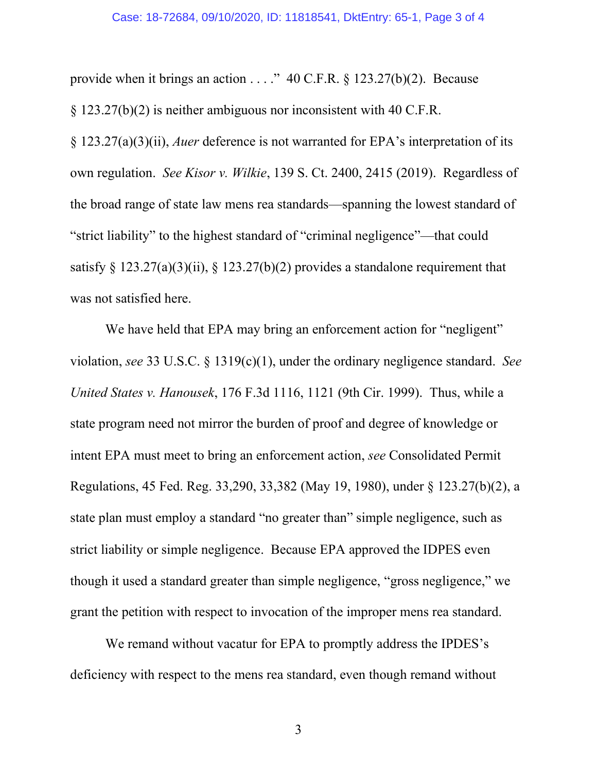#### Case: 18-72684, 09/10/2020, ID: 11818541, DktEntry: 65-1, Page 3 of 4

provide when it brings an action  $\ldots$ ." 40 C.F.R. § 123.27(b)(2). Because § 123.27(b)(2) is neither ambiguous nor inconsistent with 40 C.F.R. § 123.27(a)(3)(ii), *Auer* deference is not warranted for EPA's interpretation of its own regulation. *See Kisor v. Wilkie*, 139 S. Ct. 2400, 2415 (2019). Regardless of the broad range of state law mens rea standards—spanning the lowest standard of "strict liability" to the highest standard of "criminal negligence"—that could

satisfy  $\S$  123.27(a)(3)(ii),  $\S$  123.27(b)(2) provides a standalone requirement that was not satisfied here.

We have held that EPA may bring an enforcement action for "negligent" violation, *see* 33 U.S.C. § 1319(c)(1), under the ordinary negligence standard. *See United States v. Hanousek*, 176 F.3d 1116, 1121 (9th Cir. 1999). Thus, while a state program need not mirror the burden of proof and degree of knowledge or intent EPA must meet to bring an enforcement action, *see* Consolidated Permit Regulations, 45 Fed. Reg. 33,290, 33,382 (May 19, 1980), under § 123.27(b)(2), a state plan must employ a standard "no greater than" simple negligence, such as strict liability or simple negligence. Because EPA approved the IDPES even though it used a standard greater than simple negligence, "gross negligence," we grant the petition with respect to invocation of the improper mens rea standard.

We remand without vacatur for EPA to promptly address the IPDES's deficiency with respect to the mens rea standard, even though remand without

3